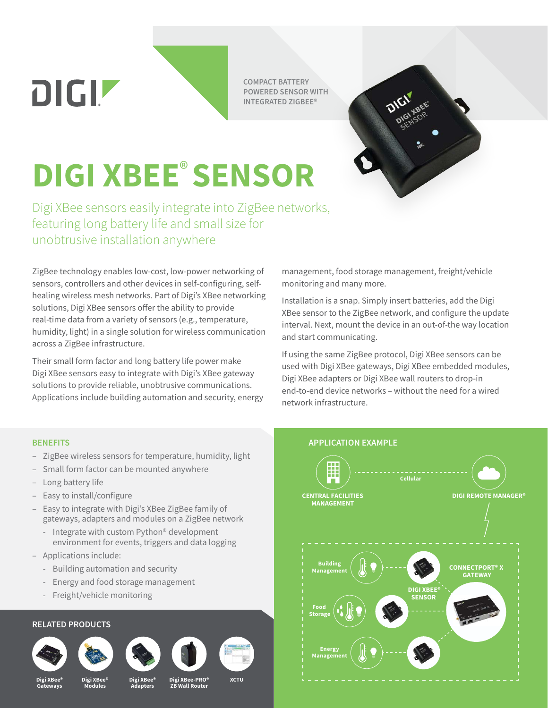DIGIZ

**COMPACT BATTERY POWERED SENSOR WITH INTEGRATED ZIGBEE®**



# **DIGI XBEE**® **SENSOR**

Digi XBee sensors easily integrate into ZigBee networks, featuring long battery life and small size for unobtrusive installation anywhere

ZigBee technology enables low-cost, low-power networking of sensors, controllers and other devices in self-configuring, selfhealing wireless mesh networks. Part of Digi's XBee networking solutions, Digi XBee sensors offer the ability to provide real-time data from a variety of sensors (e.g., temperature, humidity, light) in a single solution for wireless communication across a ZigBee infrastructure.

Their small form factor and long battery life power make Digi XBee sensors easy to integrate with Digi's XBee gateway solutions to provide reliable, unobtrusive communications. Applications include building automation and security, energy

management, food storage management, freight/vehicle monitoring and many more.

Installation is a snap. Simply insert batteries, add the Digi XBee sensor to the ZigBee network, and configure the update interval. Next, mount the device in an out-of-the way location and start communicating.

If using the same ZigBee protocol, Digi XBee sensors can be used with Digi XBee gateways, Digi XBee embedded modules, Digi XBee adapters or Digi XBee wall routers to drop-in end-to-end device networks – without the need for a wired network infrastructure.

- ZigBee wireless sensors for temperature, humidity, light
- Small form factor can be mounted anywhere
- Long battery life
- Easy to install/configure
- Easy to integrate with Digi's XBee ZigBee family of gateways, adapters and modules on a ZigBee network
	- Integrate with custom Python® development environment for events, triggers and data logging
- Applications include:
	- Building automation and security
	- Energy and food storage management
	- Freight/vehicle monitoring

#### **RELATED PRODUCTS**













**Digi XBee® Gateways**

**Digi XBee® Modules**

**Digi XBee® Adapters**

**Digi XBee-PRO® ZB Wall Router XCTU**